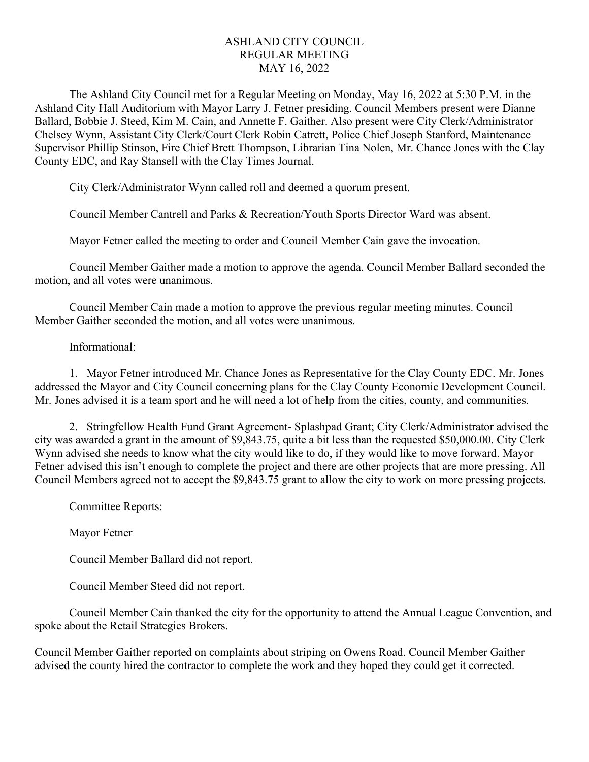## ASHLAND CITY COUNCIL REGULAR MEETING MAY 16, 2022

The Ashland City Council met for a Regular Meeting on Monday, May 16, 2022 at 5:30 P.M. in the Ashland City Hall Auditorium with Mayor Larry J. Fetner presiding. Council Members present were Dianne Ballard, Bobbie J. Steed, Kim M. Cain, and Annette F. Gaither. Also present were City Clerk/Administrator Chelsey Wynn, Assistant City Clerk/Court Clerk Robin Catrett, Police Chief Joseph Stanford, Maintenance Supervisor Phillip Stinson, Fire Chief Brett Thompson, Librarian Tina Nolen, Mr. Chance Jones with the Clay County EDC, and Ray Stansell with the Clay Times Journal.

City Clerk/Administrator Wynn called roll and deemed a quorum present.

Council Member Cantrell and Parks & Recreation/Youth Sports Director Ward was absent.

Mayor Fetner called the meeting to order and Council Member Cain gave the invocation.

Council Member Gaither made a motion to approve the agenda. Council Member Ballard seconded the motion, and all votes were unanimous.

Council Member Cain made a motion to approve the previous regular meeting minutes. Council Member Gaither seconded the motion, and all votes were unanimous.

## Informational:

1. Mayor Fetner introduced Mr. Chance Jones as Representative for the Clay County EDC. Mr. Jones addressed the Mayor and City Council concerning plans for the Clay County Economic Development Council. Mr. Jones advised it is a team sport and he will need a lot of help from the cities, county, and communities.

2. Stringfellow Health Fund Grant Agreement- Splashpad Grant; City Clerk/Administrator advised the city was awarded a grant in the amount of \$9,843.75, quite a bit less than the requested \$50,000.00. City Clerk Wynn advised she needs to know what the city would like to do, if they would like to move forward. Mayor Fetner advised this isn't enough to complete the project and there are other projects that are more pressing. All Council Members agreed not to accept the \$9,843.75 grant to allow the city to work on more pressing projects.

Committee Reports:

Mayor Fetner

Council Member Ballard did not report.

Council Member Steed did not report.

Council Member Cain thanked the city for the opportunity to attend the Annual League Convention, and spoke about the Retail Strategies Brokers.

Council Member Gaither reported on complaints about striping on Owens Road. Council Member Gaither advised the county hired the contractor to complete the work and they hoped they could get it corrected.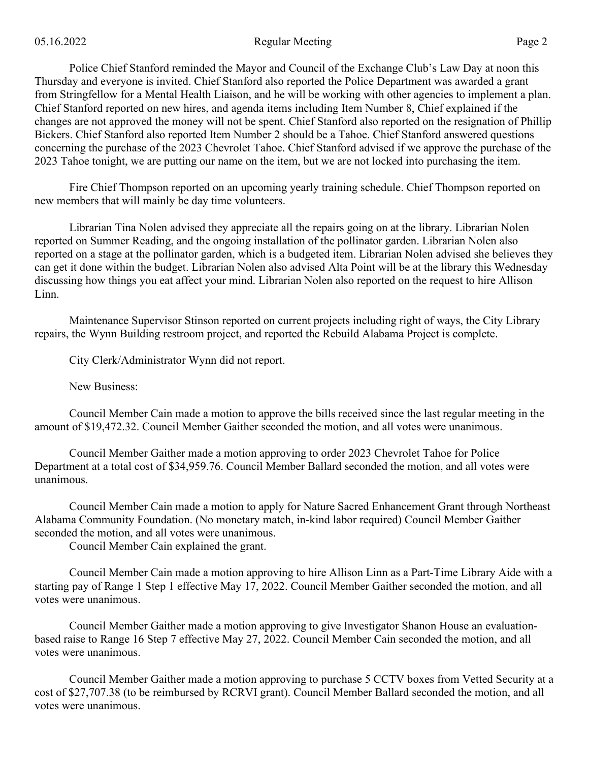## 05.16.2022 Page 2

Police Chief Stanford reminded the Mayor and Council of the Exchange Club's Law Day at noon this Thursday and everyone is invited. Chief Stanford also reported the Police Department was awarded a grant from Stringfellow for a Mental Health Liaison, and he will be working with other agencies to implement a plan. Chief Stanford reported on new hires, and agenda items including Item Number 8, Chief explained if the changes are not approved the money will not be spent. Chief Stanford also reported on the resignation of Phillip Bickers. Chief Stanford also reported Item Number 2 should be a Tahoe. Chief Stanford answered questions concerning the purchase of the 2023 Chevrolet Tahoe. Chief Stanford advised if we approve the purchase of the 2023 Tahoe tonight, we are putting our name on the item, but we are not locked into purchasing the item.

Fire Chief Thompson reported on an upcoming yearly training schedule. Chief Thompson reported on new members that will mainly be day time volunteers.

Librarian Tina Nolen advised they appreciate all the repairs going on at the library. Librarian Nolen reported on Summer Reading, and the ongoing installation of the pollinator garden. Librarian Nolen also reported on a stage at the pollinator garden, which is a budgeted item. Librarian Nolen advised she believes they can get it done within the budget. Librarian Nolen also advised Alta Point will be at the library this Wednesday discussing how things you eat affect your mind. Librarian Nolen also reported on the request to hire Allison Linn.

Maintenance Supervisor Stinson reported on current projects including right of ways, the City Library repairs, the Wynn Building restroom project, and reported the Rebuild Alabama Project is complete.

City Clerk/Administrator Wynn did not report.

New Business:

Council Member Cain made a motion to approve the bills received since the last regular meeting in the amount of \$19,472.32. Council Member Gaither seconded the motion, and all votes were unanimous.

Council Member Gaither made a motion approving to order 2023 Chevrolet Tahoe for Police Department at a total cost of \$34,959.76. Council Member Ballard seconded the motion, and all votes were unanimous.

Council Member Cain made a motion to apply for Nature Sacred Enhancement Grant through Northeast Alabama Community Foundation. (No monetary match, in-kind labor required) Council Member Gaither seconded the motion, and all votes were unanimous.

Council Member Cain explained the grant.

Council Member Cain made a motion approving to hire Allison Linn as a Part-Time Library Aide with a starting pay of Range 1 Step 1 effective May 17, 2022. Council Member Gaither seconded the motion, and all votes were unanimous.

Council Member Gaither made a motion approving to give Investigator Shanon House an evaluationbased raise to Range 16 Step 7 effective May 27, 2022. Council Member Cain seconded the motion, and all votes were unanimous.

Council Member Gaither made a motion approving to purchase 5 CCTV boxes from Vetted Security at a cost of \$27,707.38 (to be reimbursed by RCRVI grant). Council Member Ballard seconded the motion, and all votes were unanimous.